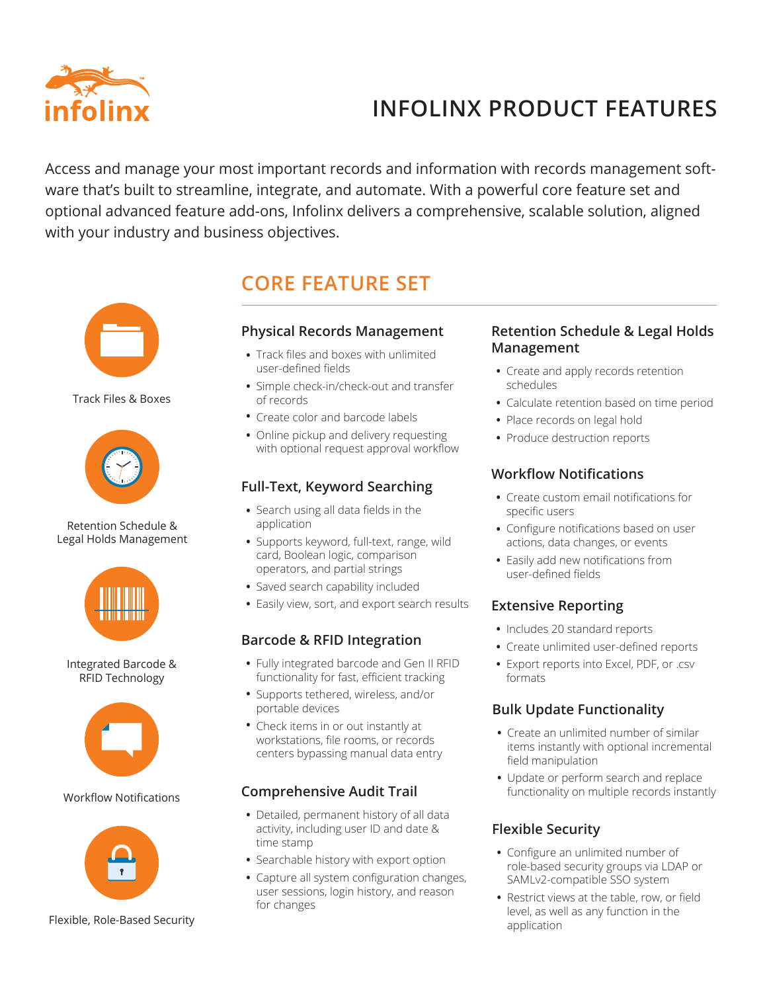

# **PRODUCT FEATURES INCOLLEGATION INFOLINX PRODUCT FEATURES**

Access and manage your most important records and information with records management software that's built to streamline, integrate, and automate. With a powerful core feature set and optional advanced feature add-ons, Infolinx delivers a comprehensive, scalable solution, aligned with your industry and business objectives.



Track Files & Boxes



Retention Schedule & Legal Holds Management



Integrated Barcode & RFID Technology



#### Workflow Notifications



#### Flexible, Role-Based Security

# **CORE FEATURE SET**

#### **Physical Records Management**

- Track files and boxes with unlimited **•** user-defined fields
- Simple check-in/check-out and transfer **•** of records
- Create color and barcode labels **•**
- Online pickup and delivery requesting **•** with optional request approval workflow

# **Full-Text, Keyword Searching**

- Search using all data fields in the **•** application
- Supports keyword, full-text, range, wild **•** card, Boolean logic, comparison operators, and partial strings
- Saved search capability included **•**
- Easily view, sort, and export search results **•**

### **Barcode & RFID Integration**

- Fully integrated barcode and Gen II RFID **•** functionality for fast, efficient tracking
- Supports tethered, wireless, and/or **•** portable devices
- Check items in or out instantly at **•** workstations, file rooms, or records centers bypassing manual data entry

# **Comprehensive Audit Trail**

- Detailed, permanent history of all data **•** activity, including user ID and date & time stamp
- Searchable history with export option **•**
- Capture all system configuration changes, **•** user sessions, login history, and reason for changes

## **Retention Schedule & Legal Holds Management**

- Create and apply records retention **•** schedules
- Calculate retention based on time period **•**
- Place records on legal hold **•**
- Produce destruction reports **•**

# **Workflow Notifications**

- Create custom email notifications for **•** specific users
- Configure notifications based on user **•** actions, data changes, or events
- Easily add new notifications from **•** user-defined fields

# **Extensive Reporting**

- Includes 20 standard reports
- Create unlimited user-defined reports **•**
- Export reports into Excel, PDF, or .csv **•** formats

# **Bulk Update Functionality**

- Create an unlimited number of similar **•** items instantly with optional incremental field manipulation
- Update or perform search and replace **•** functionality on multiple records instantly

# **Flexible Security**

- Configure an unlimited number of **•** role-based security groups via LDAP or SAMLv2-compatible SSO system
- Restrict views at the table, row, or field **•** level, as well as any function in the application